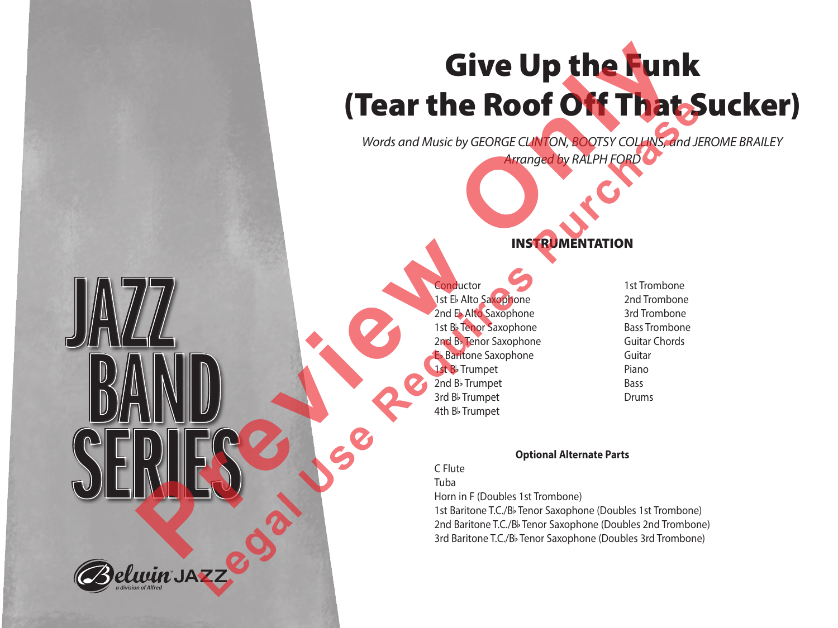## Give Up the Funk (Tear the Roof Off That Sucker) **Preview Only of the Punish (Team the Roof Off That<br>
Words and Music by GEORGE CAME (WARD ATS YOUNG A<br>
Words and Music by GEORGE CAME (WARD ATS YOUNG A<br>
NING QUARENTATION<br>
NING QUARENTATION<br>
NING QUARENTATION<br>
THE CONDENSE**

*Words and Music by GEORGE CLINTON, BOOTSY COLLINS, and JEROME BRAILEY Arranged by RALPH FORD*

## INSTRUMENTATION

**Conductor** 1st E<sub>b</sub> Alto Saxophone 2nd Eb Alto Saxophone 1st B<sub>b</sub> Tenor Saxophone 2nd Bb Tenor Saxophone Eb Baritone Saxophone 1st B<sub>b</sub> Trumpet 2nd Bb Trumpet 3rd Bb Trumpet 4th Bb Trumpet

1st Trombone 2nd Trombone 3rd Trombone Bass Trombone Guitar Chords Guitar Piano **Bass** Drums

## **Optional Alternate Parts**

C Flute Tuba Horn in F (Doubles 1st Trombone) 1st Baritone T.C./Bb Tenor Saxophone (Doubles 1st Trombone) 2nd Baritone T.C./Bb Tenor Saxophone (Doubles 2nd Trombone) 3rd Baritone T.C./Bb Tenor Saxophone (Doubles 3rd Trombone) Words and Music by GEORGE CLIN TON, BOOTSY COLLINSTAND IS NOT CLINE TONE OF THE AIR SAMPLEN TRITON IS NOT CLINE TONE CLINE TONE CLINE TONE CLINE TONE CLINE TONE CLINE TONE CLINE TONE CLINE TONE CLINE TONE CLINE TONE CLINE

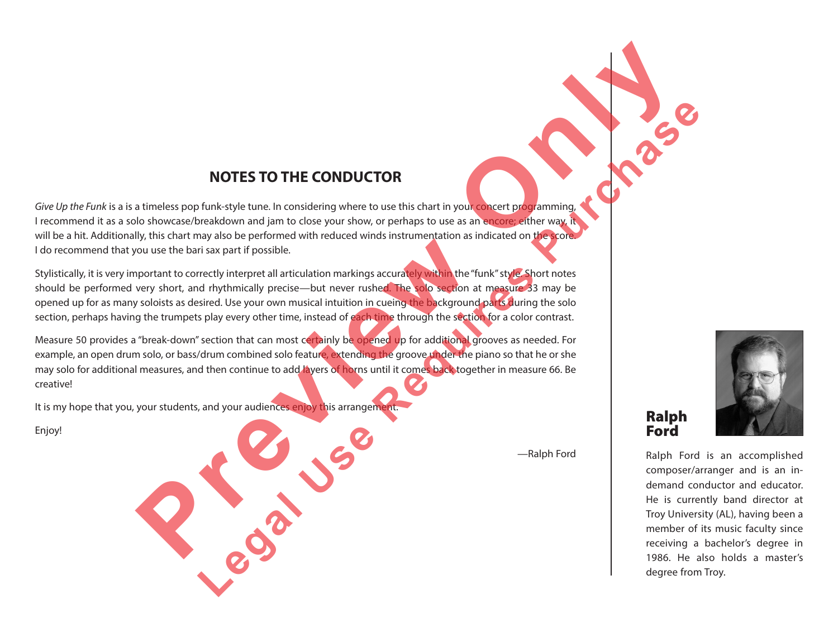## **NOTES TO THE CONDUCTOR**

*Give Up the Funk* is a is a timeless pop funk-style tune. In considering where to use this chart in your concert programming, I recommend it as a solo showcase/breakdown and jam to close your show, or perhaps to use as an encore; either way, it will be a hit. Additionally, this chart may also be performed with reduced winds instrumentation as indicated on the score. I do recommend that you use the bari sax part if possible.

Stylistically, it is very important to correctly interpret all articulation markings accurately within the "funk" style. Short notes should be performed very short, and rhythmically precise—but never rushed. The solo section at measure 33 may be opened up for as many soloists as desired. Use your own musical intuition in cueing the background parts during the solo section, perhaps having the trumpets play every other time, instead of each time through the section for a color contrast. NOTES TO THE CONDUCTOR<br>
Electron conduction and pier to class part dense of the distribution and pier to class a master of the distribution and pier to class a master of the distribution and pier to class a master of the p **NOTES TO THE CONDUCTOR**<br>
Londing where the use this distribution and the considered winds in the specifical Use performed with reduced winds instrumentation as indicated on pray and the performed with reduced winds instru

Measure 50 provides a "break-down" section that can most certainly be opened up for additional grooves as needed. For example, an open drum solo, or bass/drum combined solo feature, extending the groove under the piano so that he or she may solo for additional measures, and then continue to add layers of horns until it comes back together in measure 66. Be creative!

It is my hope that you, your students, and your audiences enjoy this arrangement

Enjoy!

—Ralph Ford



Ralph Ford is an accomplished composer/arranger and is an indemand conductor and educator. He is currently band director at Troy University (AL), having been a member of its music faculty since receiving a bachelor's degree in degree from Troy.

Ralph Ford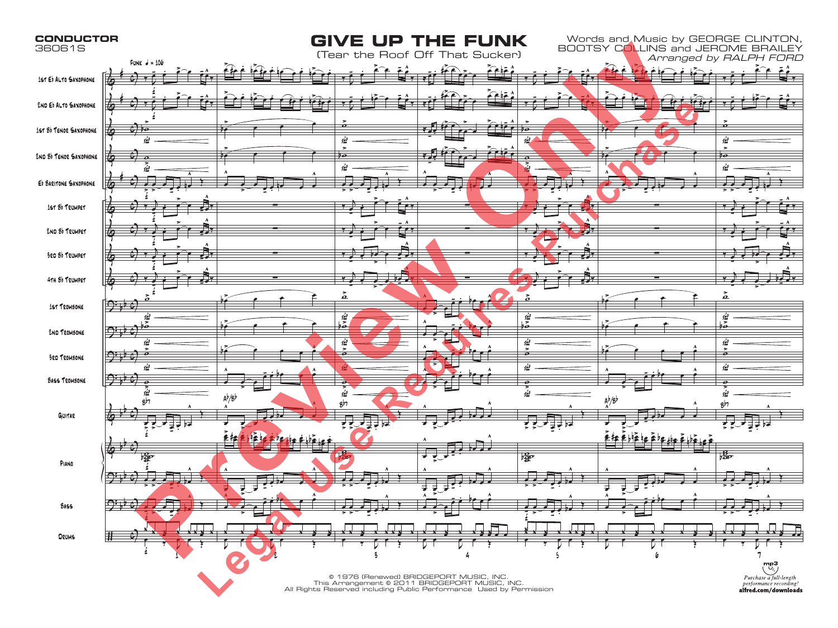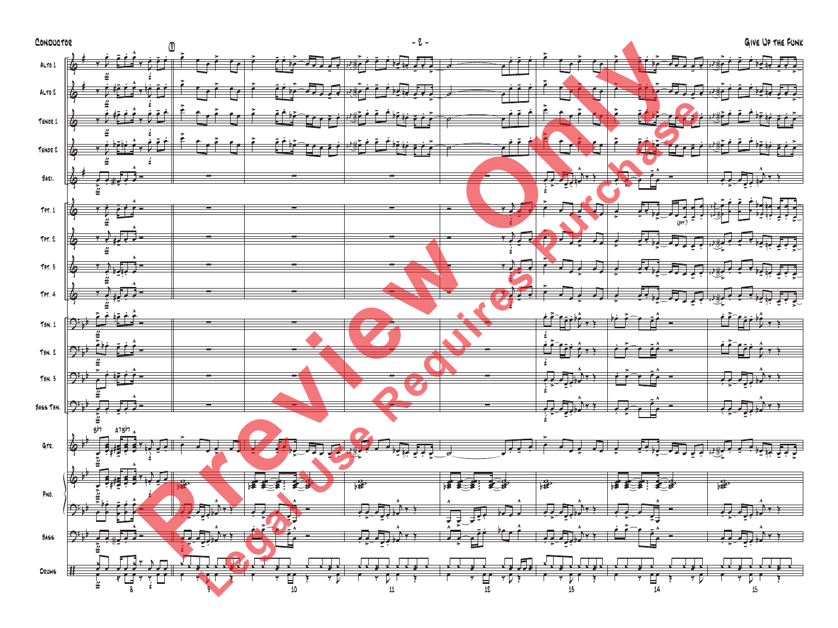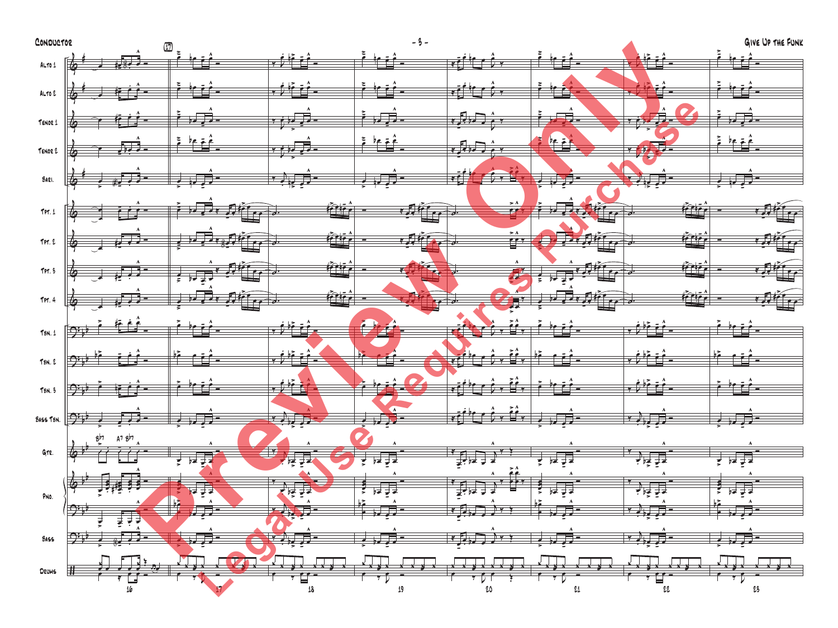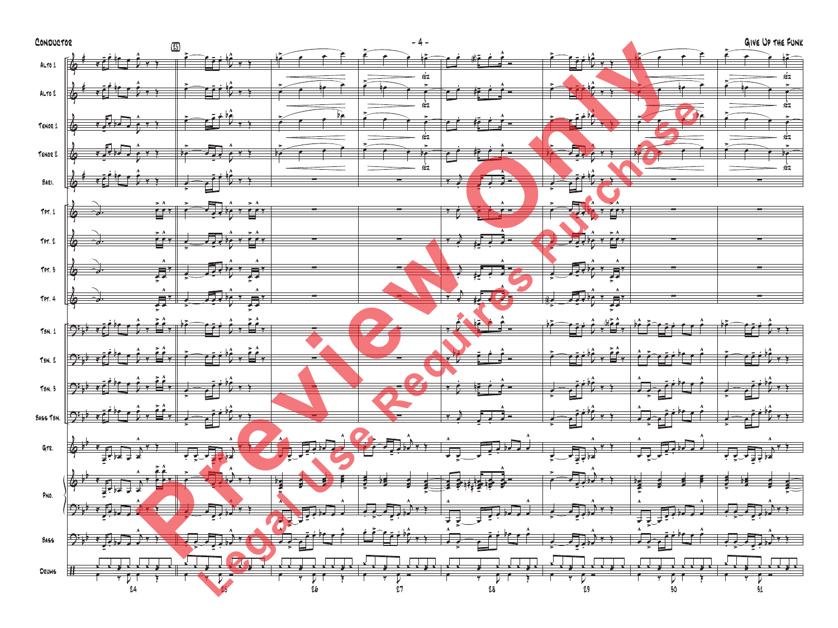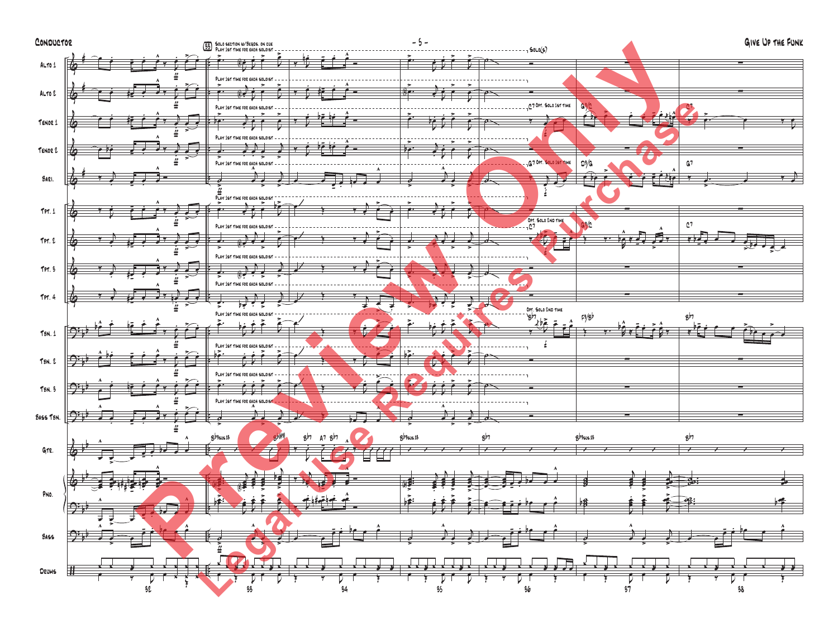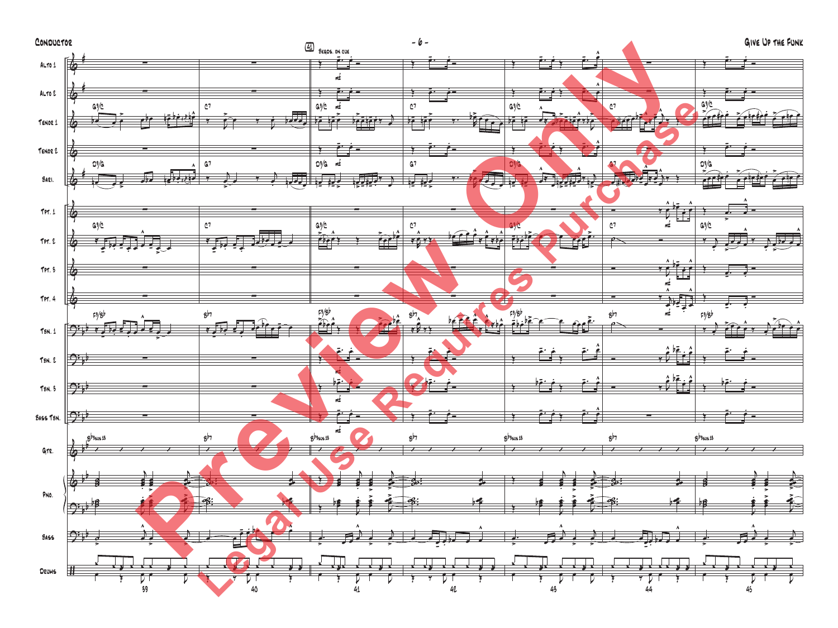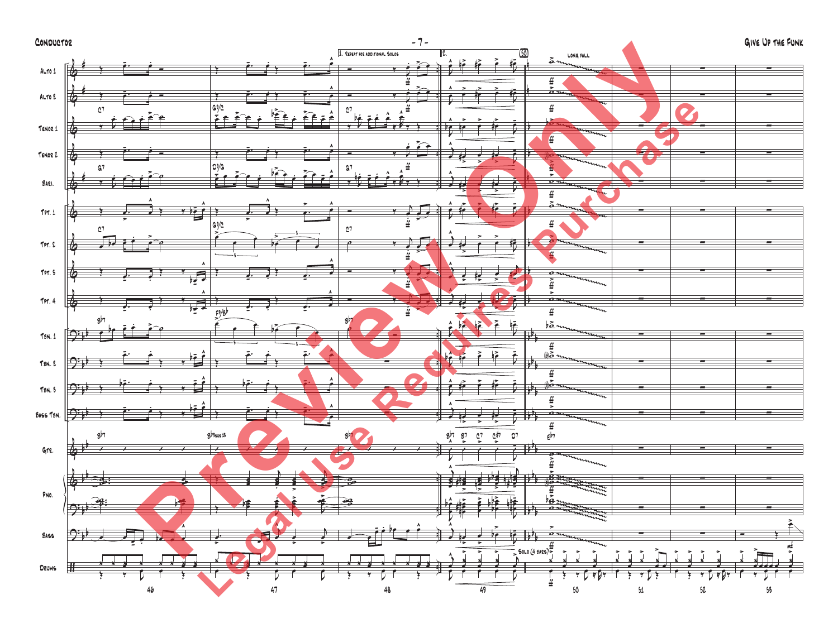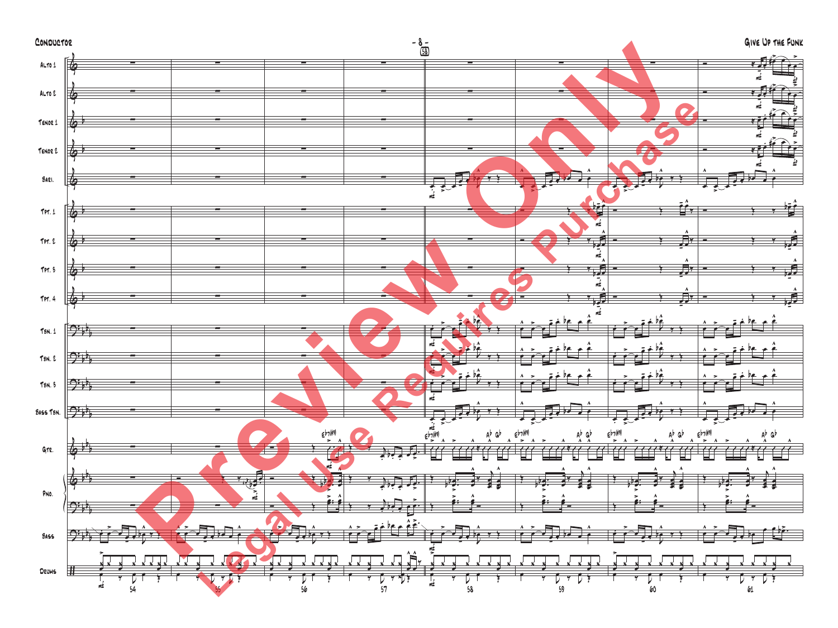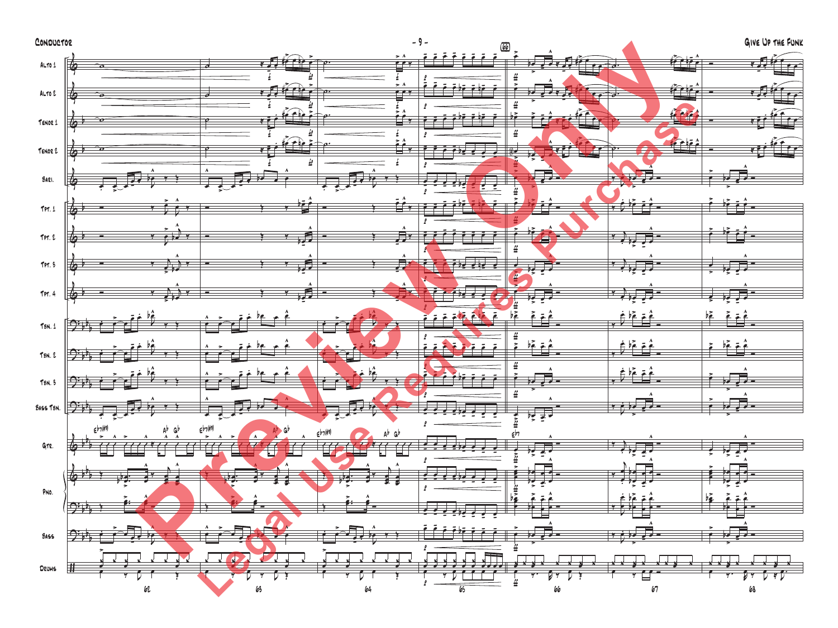